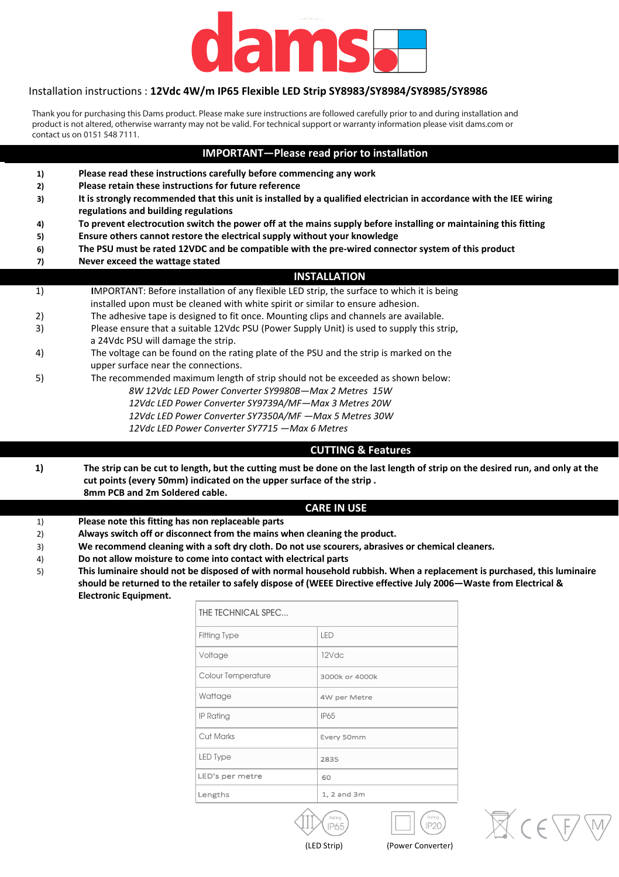

#### Installation instructions : 12Vdc 4W/m IP65 Flexible LED Strip SY8983/SY8984/SY8985/SY8986

Thank you for purchasing this Dams product. Please make sure instructions are followed carefully prior to and during installation and product is not altered, otherwise warranty may not be valid. For technical support or warranty information please visit dams.com or **contact us on 0151 548 7111.** 

#### **IMPORTANT-Please read prior to installation**

| 1) | Please read these instructions carefully before commencing any work                                                                                         |  |  |
|----|-------------------------------------------------------------------------------------------------------------------------------------------------------------|--|--|
| 2) | Please retain these instructions for future reference                                                                                                       |  |  |
| 3) | It is strongly recommended that this unit is installed by a qualified electrician in accordance with the IEE wiring<br>regulations and building regulations |  |  |
| 4) | To prevent electrocution switch the power off at the mains supply before installing or maintaining this fitting                                             |  |  |
| 5) | Ensure others cannot restore the electrical supply without your knowledge                                                                                   |  |  |
| 6) | The PSU must be rated 12VDC and be compatible with the pre-wired connector system of this product                                                           |  |  |
| 7) | Never exceed the wattage stated                                                                                                                             |  |  |
|    | <b>INSTALLATION</b>                                                                                                                                         |  |  |
| 1) | IMPORTANT: Before installation of any flexible LED strip, the surface to which it is being                                                                  |  |  |
|    | installed upon must be cleaned with white spirit or similar to ensure adhesion.                                                                             |  |  |
| 2) | The adhesive tape is designed to fit once. Mounting clips and channels are available.                                                                       |  |  |
| 3) | Please ensure that a suitable 12Vdc PSU (Power Supply Unit) is used to supply this strip.                                                                   |  |  |
|    | a 24Vdc PSU will damage the strip.                                                                                                                          |  |  |
| 4) | The voltage can be found on the rating plate of the PSU and the strip is marked on the                                                                      |  |  |
|    | upper surface near the connections.                                                                                                                         |  |  |
| 5) | The recommended maximum length of strip should not be exceeded as shown below:                                                                              |  |  |
|    | 8W 12Vdc LED Power Converter SY9980B-Max 2 Metres 15W                                                                                                       |  |  |
|    | 12Vdc LED Power Converter SY9739A/MF-Max 3 Metres 20W                                                                                                       |  |  |
|    | 12Vdc LED Power Converter SY7350A/MF - Max 5 Metres 30W                                                                                                     |  |  |
|    | 12Vdc LED Power Converter SY7715 - Max 6 Metres                                                                                                             |  |  |

### **CUTTING & Features**

1) The strip can be cut to length, but the cutting must be done on the last length of strip on the desired run, and only at the cut points (every 50mm) indicated on the upper surface of the strip. **8mm PCB and 2m Soldered cable.** 

### *CARE* IN USE

- 1) **Please note this fitting has non replaceable parts**
- 2) **Always switch off or disconnect from the mains when cleaning the product.**
- 3) We recommend cleaning with a soft dry cloth. Do not use scourers, abrasives or chemical cleaners.
- 4) Do not allow moisture to come into contact with electrical parts
- 5) This luminaire should not be disposed of with normal household rubbish. When a replacement is purchased, this luminaire **ƐŚŽƵůĚďĞƌĞƚƵƌŶĞĚƚŽƚŚĞ ƌĞƚĂŝůĞƌƚŽƐĂĨĞůLJĚŝƐƉŽƐĞŽĨ;tŝƌĞĐƚŝǀĞĞĨĨĞĐƚŝǀĞ :ƵůLJϮϬϬϲͶtĂƐƚĞĨƌŽŵůĞĐƚƌŝĐĂů Θ Electronic Equipment.**

| THE TECHNICAL SPEC |                |  |  |
|--------------------|----------------|--|--|
| Fitting Type       | <b>IFD</b>     |  |  |
| Voltage            | 12Vdc          |  |  |
| Colour Temperature | 3000k or 4000k |  |  |
| Wattage            | 4W per Metre   |  |  |
| IP Rating          | <b>IP65</b>    |  |  |
| Cut Marks          | Every 50mm     |  |  |
| LED Type           | 2835           |  |  |
| LED's per metre    | 60             |  |  |
| Lengths            | 1, 2 and 3m    |  |  |







(LED Strip) (Power Converter)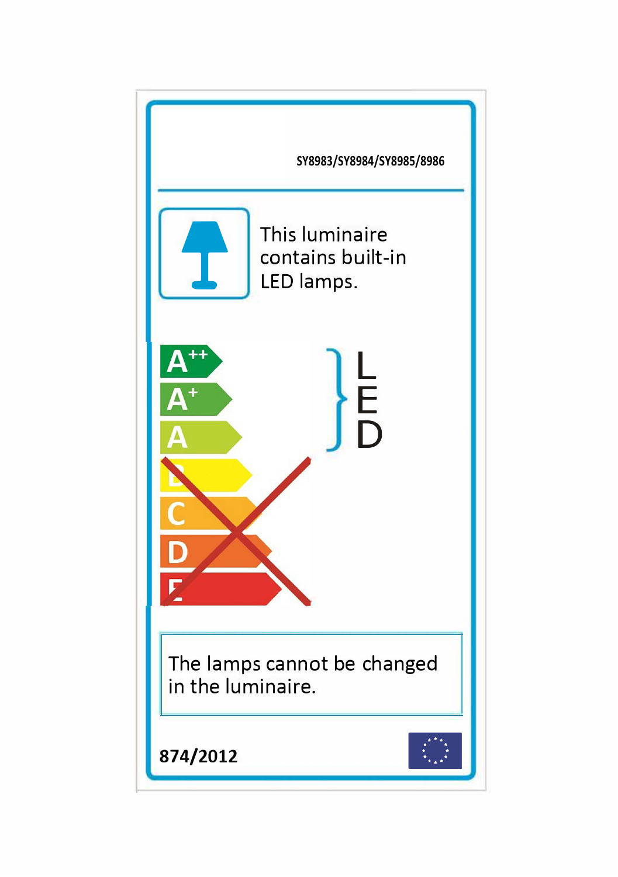